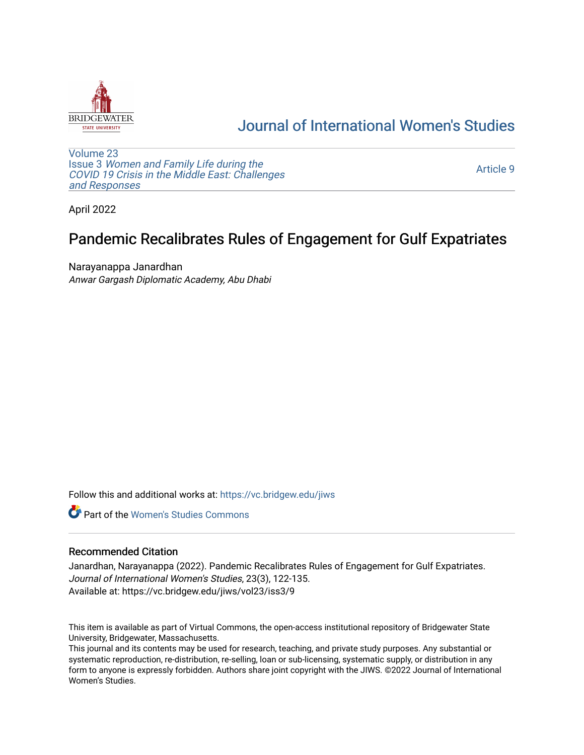

## [Journal of International Women's Studies](https://vc.bridgew.edu/jiws)

[Volume 23](https://vc.bridgew.edu/jiws/vol23) Issue 3 [Women and Family Life during the](https://vc.bridgew.edu/jiws/vol23/iss3)  [COVID 19 Crisis in the Middle East: Challenges](https://vc.bridgew.edu/jiws/vol23/iss3) [and Responses](https://vc.bridgew.edu/jiws/vol23/iss3) 

[Article 9](https://vc.bridgew.edu/jiws/vol23/iss3/9) 

April 2022

# Pandemic Recalibrates Rules of Engagement for Gulf Expatriates

Narayanappa Janardhan Anwar Gargash Diplomatic Academy, Abu Dhabi

Follow this and additional works at: [https://vc.bridgew.edu/jiws](https://vc.bridgew.edu/jiws?utm_source=vc.bridgew.edu%2Fjiws%2Fvol23%2Fiss3%2F9&utm_medium=PDF&utm_campaign=PDFCoverPages)

**C** Part of the Women's Studies Commons

## Recommended Citation

Janardhan, Narayanappa (2022). Pandemic Recalibrates Rules of Engagement for Gulf Expatriates. Journal of International Women's Studies, 23(3), 122-135. Available at: https://vc.bridgew.edu/jiws/vol23/iss3/9

This item is available as part of Virtual Commons, the open-access institutional repository of Bridgewater State University, Bridgewater, Massachusetts.

This journal and its contents may be used for research, teaching, and private study purposes. Any substantial or systematic reproduction, re-distribution, re-selling, loan or sub-licensing, systematic supply, or distribution in any form to anyone is expressly forbidden. Authors share joint copyright with the JIWS. ©2022 Journal of International Women's Studies.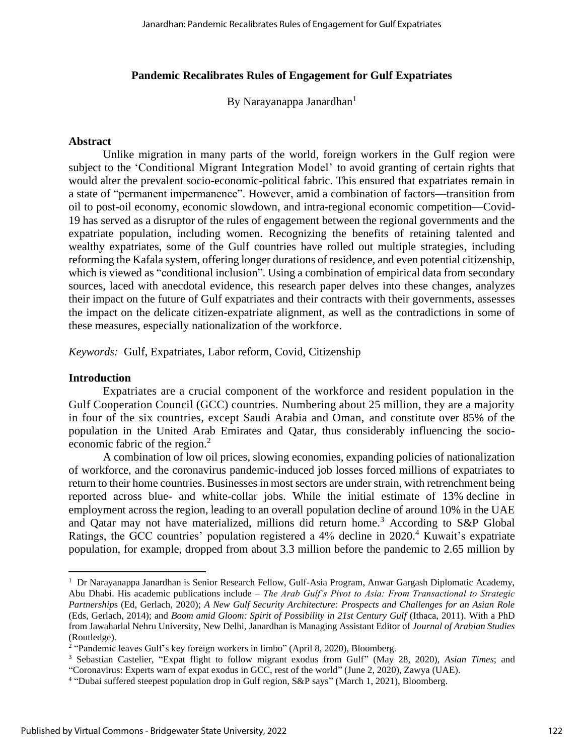## **Pandemic Recalibrates Rules of Engagement for Gulf Expatriates**

By Narayanappa Janardhan<sup>1</sup>

#### **Abstract**

Unlike migration in many parts of the world, foreign workers in the Gulf region were subject to the 'Conditional Migrant Integration Model' to avoid granting of certain rights that would alter the prevalent socio-economic-political fabric. This ensured that expatriates remain in a state of "permanent impermanence". However, amid a combination of factors—transition from oil to post-oil economy, economic slowdown, and intra-regional economic competition—Covid-19 has served as a disruptor of the rules of engagement between the regional governments and the expatriate population, including women. Recognizing the benefits of retaining talented and wealthy expatriates, some of the Gulf countries have rolled out multiple strategies, including reforming the Kafala system, offering longer durations of residence, and even potential citizenship, which is viewed as "conditional inclusion". Using a combination of empirical data from secondary sources, laced with anecdotal evidence, this research paper delves into these changes, analyzes their impact on the future of Gulf expatriates and their contracts with their governments, assesses the impact on the delicate citizen-expatriate alignment, as well as the contradictions in some of these measures, especially nationalization of the workforce.

*Keywords:* Gulf, Expatriates, Labor reform, Covid, Citizenship

### **Introduction**

Expatriates are a crucial component of the workforce and resident population in the Gulf Cooperation Council (GCC) countries. Numbering about 25 million, they are a majority in four of the six countries, except Saudi Arabia and Oman, and constitute over 85% of the population in the United Arab Emirates and Qatar, thus considerably influencing the socioeconomic fabric of the region.<sup>2</sup>

A combination of low oil prices, slowing economies, expanding policies of nationalization of workforce, and the coronavirus pandemic-induced job losses forced millions of expatriates to return to their home countries. Businesses in most sectors are under strain, with retrenchment being reported across blue- and white-collar jobs. While the initial estimate of 13% decline in employment across the region, leading to an overall population decline of around 10% in the UAE and Qatar may not have materialized, millions did return home.<sup>3</sup> According to S&P Global Ratings, the GCC countries' population registered a 4% decline in 2020.<sup>4</sup> Kuwait's expatriate population, for example, dropped from about 3.3 million before the pandemic to 2.65 million by

<sup>&</sup>lt;sup>1</sup> Dr Narayanappa Janardhan is Senior Research Fellow, Gulf-Asia Program, Anwar Gargash Diplomatic Academy, Abu Dhabi. His academic publications include – *The Arab Gulf's Pivot to Asia: From Transactional to Strategic Partnership*s (Ed, Gerlach, 2020); *A New Gulf Security Architecture: Prospects and Challenges for an Asian Role* (Eds, Gerlach, 2014); and *Boom amid Gloom: Spirit of Possibility in 21st Century Gulf* (Ithaca, 2011). With a PhD from Jawaharlal Nehru University, New Delhi, Janardhan is Managing Assistant Editor of *Journal of Arabian Studies*  (Routledge).

<sup>&</sup>lt;sup>2</sup> "Pandemic leaves Gulf's key foreign workers in limbo" (April 8, 2020), Bloomberg.

<sup>3</sup> Sebastian Castelier, "Expat flight to follow migrant exodus from Gulf" (May 28, 2020), *Asian Times*; and "Coronavirus: Experts warn of expat exodus in GCC, rest of the world" (June 2, 2020), Zawya (UAE).

<sup>4</sup> "Dubai suffered steepest population drop in Gulf region, S&P says" (March 1, 2021), Bloomberg.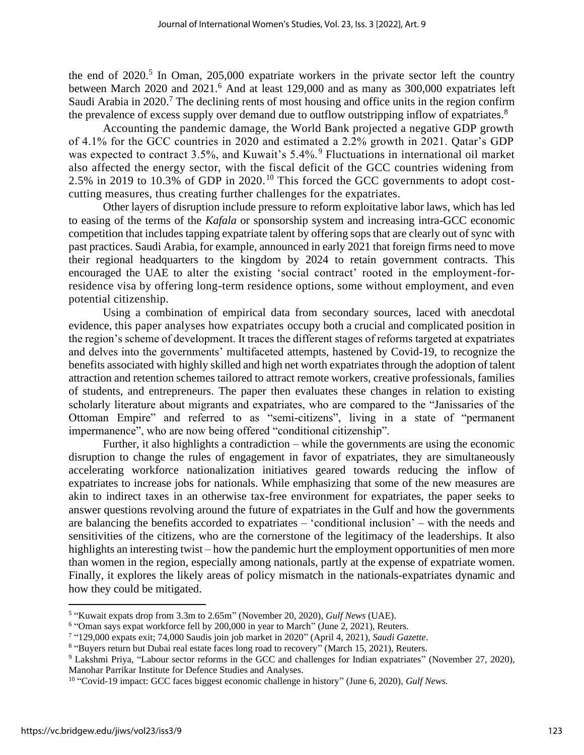the end of  $2020$ <sup>5</sup> In Oman,  $205,000$  expatriate workers in the private sector left the country between March 2020 and 2021.<sup>6</sup> And at least 129,000 and as many as 300,000 expatriates left Saudi Arabia in 2020.<sup>7</sup> The declining rents of most housing and office units in the region confirm the prevalence of excess supply over demand due to outflow outstripping inflow of expatriates.<sup>8</sup>

Accounting the pandemic damage, the World Bank projected a negative GDP growth of 4.1% for the GCC countries in 2020 and estimated a 2.2% growth in 2021. Qatar's GDP was expected to contract  $3.5\%$ , and Kuwait's  $5.4\%$ . Fluctuations in international oil market also affected the energy sector, with the fiscal deficit of the GCC countries widening from 2.5% in 2019 to 10.3% of GDP in 2020.<sup>10</sup> This forced the GCC governments to adopt costcutting measures, thus creating further challenges for the expatriates.

Other layers of disruption include pressure to reform exploitative labor laws, which has led to easing of the terms of the *Kafala* or sponsorship system and increasing intra-GCC economic competition that includes tapping expatriate talent by offering sops that are clearly out of sync with past practices. Saudi Arabia, for example, announced in early 2021 that foreign firms need to move their regional headquarters to the kingdom by 2024 to retain government contracts. This encouraged the UAE to alter the existing 'social contract' rooted in the employment-forresidence visa by offering long-term residence options, some without employment, and even potential citizenship.

Using a combination of empirical data from secondary sources, laced with anecdotal evidence, this paper analyses how expatriates occupy both a crucial and complicated position in the region's scheme of development. It traces the different stages of reforms targeted at expatriates and delves into the governments' multifaceted attempts, hastened by Covid-19, to recognize the benefits associated with highly skilled and high net worth expatriates through the adoption of talent attraction and retention schemes tailored to attract remote workers, creative professionals, families of students, and entrepreneurs. The paper then evaluates these changes in relation to existing scholarly literature about migrants and expatriates, who are compared to the "Janissaries of the Ottoman Empire" and referred to as "semi-citizens", living in a state of "permanent impermanence", who are now being offered "conditional citizenship".

Further, it also highlights a contradiction – while the governments are using the economic disruption to change the rules of engagement in favor of expatriates, they are simultaneously accelerating workforce nationalization initiatives geared towards reducing the inflow of expatriates to increase jobs for nationals. While emphasizing that some of the new measures are akin to indirect taxes in an otherwise tax-free environment for expatriates, the paper seeks to answer questions revolving around the future of expatriates in the Gulf and how the governments are balancing the benefits accorded to expatriates – 'conditional inclusion' – with the needs and sensitivities of the citizens, who are the cornerstone of the legitimacy of the leaderships. It also highlights an interesting twist – how the pandemic hurt the employment opportunities of men more than women in the region, especially among nationals, partly at the expense of expatriate women. Finally, it explores the likely areas of policy mismatch in the nationals-expatriates dynamic and how they could be mitigated.

<sup>5</sup> "Kuwait expats drop from 3.3m to 2.65m" (November 20, 2020), *Gulf News* (UAE).

<sup>&</sup>lt;sup>6</sup> "Oman says expat workforce fell by 200,000 in year to March" (June 2, 2021), Reuters.

<sup>7</sup> "129,000 expats exit; 74,000 Saudis join job market in 2020" (April 4, 2021), *Saudi Gazette*.

<sup>&</sup>lt;sup>8</sup> "Buyers return but Dubai real estate faces long road to recovery" (March 15, 2021), Reuters.

<sup>9</sup> Lakshmi Priya, "Labour sector reforms in the GCC and challenges for Indian expatriates" (November 27, 2020), Manohar Parrikar Institute for Defence Studies and Analyses.

<sup>10</sup> "Covid-19 impact: GCC faces biggest economic challenge in history" (June 6, 2020), *Gulf News*.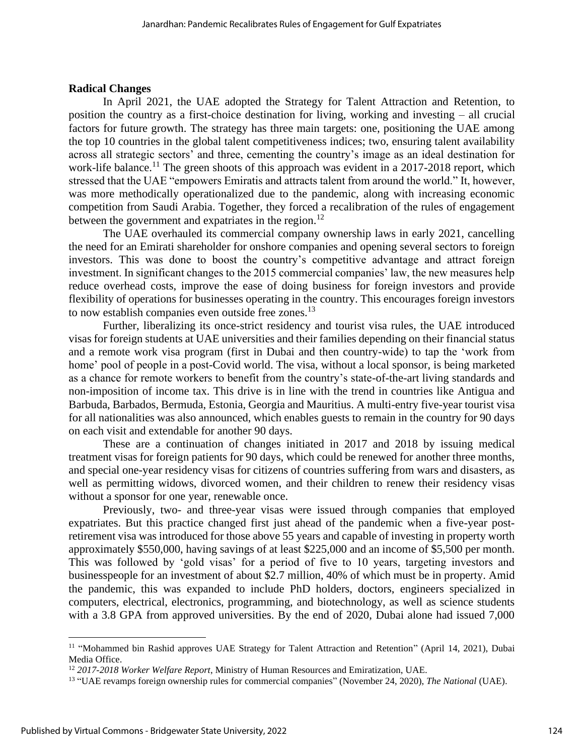## **Radical Changes**

In April 2021, the UAE adopted the Strategy for Talent Attraction and Retention, to position the country as a first-choice destination for living, working and investing – all crucial factors for future growth. The strategy has three main targets: one, positioning the UAE among the top 10 countries in the global talent competitiveness indices; two, ensuring talent availability across all strategic sectors' and three, cementing the country's image as an ideal destination for work-life balance.<sup>11</sup> The green shoots of this approach was evident in a 2017-2018 report, which stressed that the UAE "empowers Emiratis and attracts talent from around the world." It, however, was more methodically operationalized due to the pandemic, along with increasing economic competition from Saudi Arabia. Together, they forced a recalibration of the rules of engagement between the government and expatriates in the region.<sup>12</sup>

The UAE overhauled its commercial company ownership laws in early 2021, cancelling the need for an Emirati shareholder for onshore companies and opening several sectors to foreign investors. This was done to boost the country's competitive advantage and attract foreign investment. In significant changes to the 2015 commercial companies' law, the new measures help reduce overhead costs, improve the ease of doing business for foreign investors and provide flexibility of operations for businesses operating in the country. This encourages foreign investors to now establish companies even outside free zones.<sup>13</sup>

Further, liberalizing its once-strict residency and tourist visa rules, the UAE introduced visas for foreign students at UAE universities and their families depending on their financial status and a remote work visa program (first in Dubai and then country-wide) to tap the 'work from home' pool of people in a post-Covid world. The visa, without a local sponsor, is being marketed as a chance for remote workers to benefit from the country's state-of-the-art living standards and non-imposition of income tax. This drive is in line with the trend in countries like Antigua and Barbuda, Barbados, Bermuda, Estonia, Georgia and Mauritius. A multi-entry five-year tourist visa for all nationalities was also announced, which enables guests to remain in the country for 90 days on each visit and extendable for another 90 days.

These are a continuation of changes initiated in 2017 and 2018 by issuing medical treatment visas for foreign patients for 90 days, which could be renewed for another three months, and special one-year residency visas for citizens of countries suffering from wars and disasters, as well as permitting widows, divorced women, and their children to renew their residency visas without a sponsor for one year, renewable once.

Previously, two- and three-year visas were issued through companies that employed expatriates. But this practice changed first just ahead of the pandemic when a five-year postretirement visa was introduced for those above 55 years and capable of investing in property worth approximately \$550,000, having savings of at least \$225,000 and an income of \$5,500 per month. This was followed by 'gold visas' for a period of five to 10 years, targeting investors and businesspeople for an investment of about \$2.7 million, 40% of which must be in property. Amid the pandemic, this was expanded to include PhD holders, doctors, engineers specialized in computers, electrical, electronics, programming, and biotechnology, as well as science students with a 3.8 GPA from approved universities. By the end of 2020, Dubai alone had issued 7,000

<sup>&</sup>lt;sup>11</sup> "Mohammed bin Rashid approves UAE Strategy for Talent Attraction and Retention" (April 14, 2021), Dubai Media Office.

<sup>12</sup> *2017-2018 Worker Welfare Report*, Ministry of Human Resources and Emiratization, UAE.

<sup>13</sup> "UAE revamps foreign ownership rules for commercial companies" (November 24, 2020), *The National* (UAE).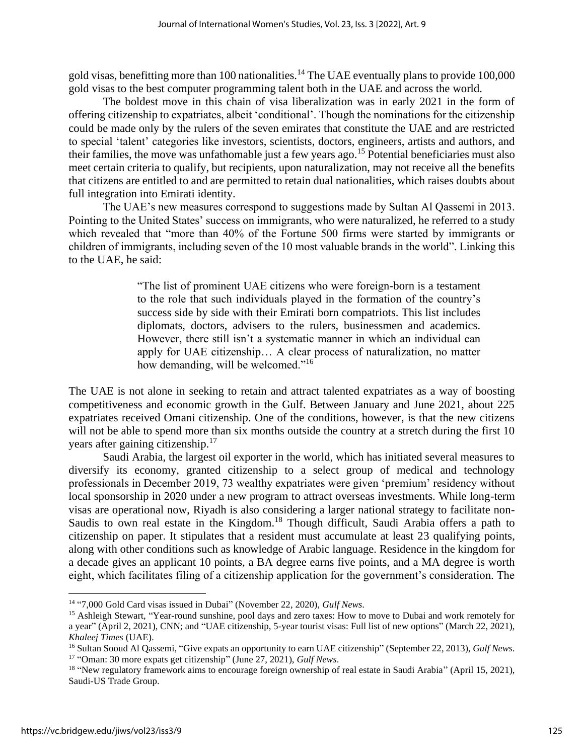gold visas, benefitting more than 100 nationalities.<sup>14</sup> The UAE eventually plans to provide 100,000 gold visas to the best computer programming talent both in the UAE and across the world.

The boldest move in this chain of visa liberalization was in early 2021 in the form of offering citizenship to expatriates, albeit 'conditional'. Though the nominations for the citizenship could be made only by the rulers of the seven emirates that constitute the UAE and are restricted to special 'talent' categories like investors, scientists, doctors, engineers, artists and authors, and their families, the move was unfathomable just a few years ago.<sup>15</sup> Potential beneficiaries must also meet certain criteria to qualify, but recipients, upon naturalization, may not receive all the benefits that citizens are entitled to and are permitted to retain dual nationalities, which raises doubts about full integration into Emirati identity.

The UAE's new measures correspond to suggestions made by Sultan Al Qassemi in 2013. Pointing to the United States' success on immigrants, who were naturalized, he referred to a study which revealed that "more than 40% of the Fortune 500 firms were started by immigrants or children of immigrants, including seven of the 10 most valuable brands in the world". Linking this to the UAE, he said:

> "The list of prominent UAE citizens who were foreign-born is a testament to the role that such individuals played in the formation of the country's success side by side with their Emirati born compatriots. This list includes diplomats, doctors, advisers to the rulers, businessmen and academics. However, there still isn't a systematic manner in which an individual can apply for UAE citizenship… A clear process of naturalization, no matter how demanding, will be welcomed."<sup>16</sup>

The UAE is not alone in seeking to retain and attract talented expatriates as a way of boosting competitiveness and economic growth in the Gulf. Between January and June 2021, about 225 expatriates received Omani citizenship. One of the conditions, however, is that the new citizens will not be able to spend more than six months outside the country at a stretch during the first 10 years after gaining citizenship.<sup>17</sup>

Saudi Arabia, the largest oil exporter in the world, which has initiated several measures to diversify its economy, granted citizenship to a select group of medical and technology professionals in December 2019, 73 wealthy expatriates were given 'premium' residency without local sponsorship in 2020 under a new program to attract overseas investments. While long-term visas are operational now, Riyadh is also considering a larger national strategy to facilitate non-Saudis to own real estate in the Kingdom.<sup>18</sup> Though difficult, Saudi Arabia offers a path to citizenship on paper. It stipulates that a resident must accumulate at least 23 qualifying points, along with other conditions such as knowledge of Arabic language. Residence in the kingdom for a decade gives an applicant 10 points, a BA degree earns five points, and a MA degree is worth eight, which facilitates filing of a citizenship application for the government's consideration. The

<sup>&</sup>lt;sup>14</sup> "7,000 Gold Card visas issued in Dubai" (November 22, 2020), *Gulf News*.

<sup>&</sup>lt;sup>15</sup> Ashleigh Stewart, "Year-round sunshine, pool days and zero taxes: How to move to Dubai and work remotely for a year" (April 2, 2021), CNN; and "UAE citizenship, 5-year tourist visas: Full list of new options" (March 22, 2021), *Khaleej Times* (UAE).

<sup>16</sup> Sultan Sooud Al Qassemi, "Give expats an opportunity to earn UAE citizenship" (September 22, 2013), *Gulf News*. 17 "Oman: 30 more expats get citizenship" (June 27, 2021), *Gulf News*.

<sup>&</sup>lt;sup>18</sup> "New regulatory framework aims to encourage foreign ownership of real estate in Saudi Arabia" (April 15, 2021), Saudi-US Trade Group.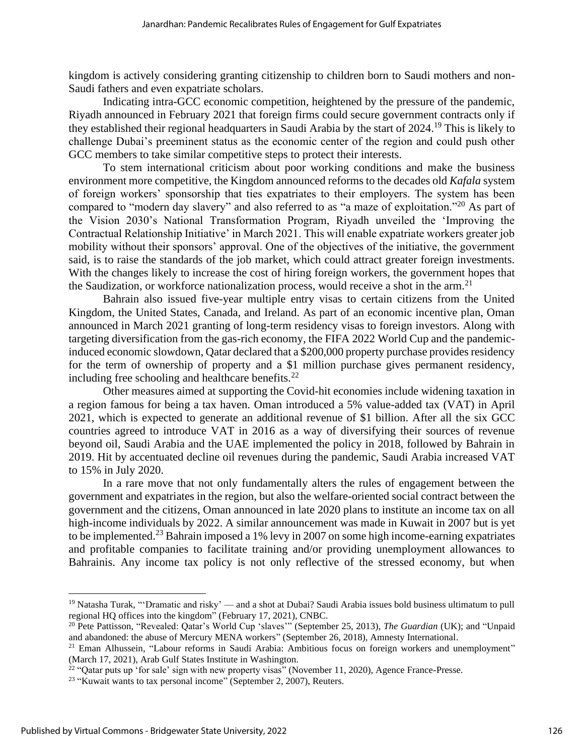kingdom is actively considering granting citizenship to children born to Saudi mothers and non-Saudi fathers and even expatriate scholars.

Indicating intra-GCC economic competition, heightened by the pressure of the pandemic, Riyadh announced in February 2021 that foreign firms could secure government contracts only if they established their regional headquarters in Saudi Arabia by the start of 2024.<sup>19</sup> This is likely to challenge Dubai's preeminent status as the economic center of the region and could push other GCC members to take similar competitive steps to protect their interests.

To stem international criticism about poor working conditions and make the business environment more competitive, the Kingdom announced reforms to the decades old *Kafala* system of foreign workers' sponsorship that ties expatriates to their employers. The system has been compared to "modern day slavery" and also referred to as "a maze of exploitation."<sup>20</sup> As part of the Vision 2030's National Transformation Program, Riyadh unveiled the 'Improving the Contractual Relationship Initiative' in March 2021. This will enable expatriate workers greater job mobility without their sponsors' approval. One of the objectives of the initiative, the government said, is to raise the standards of the job market, which could attract greater foreign investments. With the changes likely to increase the cost of hiring foreign workers, the government hopes that the Saudization, or workforce nationalization process, would receive a shot in the arm.<sup>21</sup>

Bahrain also issued five-year multiple entry visas to certain citizens from the United Kingdom, the United States, Canada, and Ireland. As part of an economic incentive plan, Oman announced in March 2021 granting of long-term residency visas to foreign investors. Along with targeting diversification from the gas-rich economy, the FIFA 2022 World Cup and the pandemicinduced economic slowdown, Qatar declared that a \$200,000 property purchase provides residency for the term of ownership of property and a \$1 million purchase gives permanent residency, including free schooling and healthcare benefits.<sup>22</sup>

Other measures aimed at supporting the Covid-hit economies include widening taxation in a region famous for being a tax haven. Oman introduced a 5% value-added tax (VAT) in April 2021, which is expected to generate an additional revenue of \$1 billion. After all the six GCC countries agreed to introduce VAT in 2016 as a way of diversifying their sources of revenue beyond oil, Saudi Arabia and the UAE implemented the policy in 2018, followed by Bahrain in 2019. Hit by accentuated decline oil revenues during the pandemic, Saudi Arabia increased VAT to 15% in July 2020.

In a rare move that not only fundamentally alters the rules of engagement between the government and expatriates in the region, but also the welfare-oriented social contract between the government and the citizens, Oman announced in late 2020 plans to institute an income tax on all high-income individuals by 2022. A similar announcement was made in Kuwait in 2007 but is yet to be implemented.<sup>23</sup> Bahrain imposed a 1% levy in 2007 on some high income-earning expatriates and profitable companies to facilitate training and/or providing unemployment allowances to Bahrainis. Any income tax policy is not only reflective of the stressed economy, but when

<sup>&</sup>lt;sup>19</sup> Natasha Turak, "'Dramatic and risky' — and a shot at Dubai? Saudi Arabia issues bold business ultimatum to pull regional HQ offices into the kingdom" (February 17, 2021), CNBC.

<sup>20</sup> Pete Pattisson, "Revealed: Qatar's World Cup 'slaves'" (September 25, 2013), *The Guardian* (UK); and "Unpaid and abandoned: the abuse of Mercury MENA workers" (September 26, 2018), Amnesty International.

<sup>&</sup>lt;sup>21</sup> Eman Alhussein, "Labour reforms in Saudi Arabia: Ambitious focus on foreign workers and unemployment" (March 17, 2021), Arab Gulf States Institute in Washington.<br><sup>22</sup> "Qatar puts up 'for sale' sign with new property visas" (November 11, 2020), Agence France-Presse.

<sup>&</sup>lt;sup>23</sup> "Kuwait wants to tax personal income" (September 2, 2007), Reuters.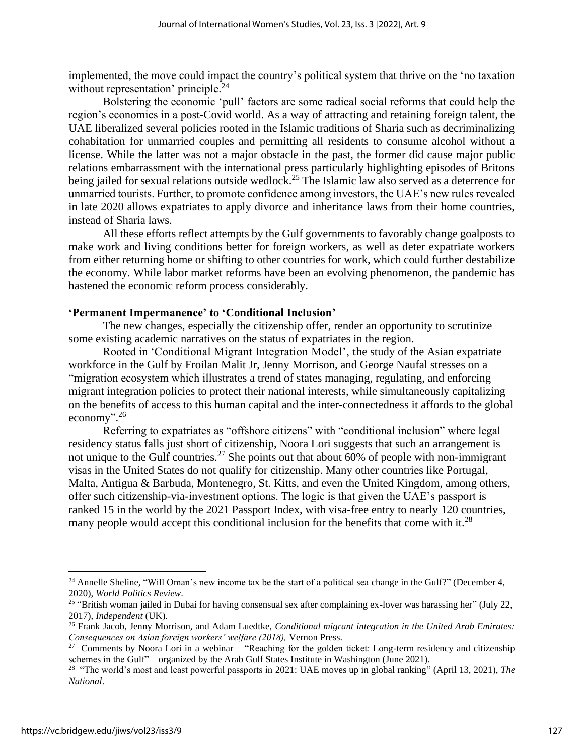implemented, the move could impact the country's political system that thrive on the 'no taxation without representation' principle.<sup>24</sup>

Bolstering the economic 'pull' factors are some radical social reforms that could help the region's economies in a post-Covid world. As a way of attracting and retaining foreign talent, the UAE liberalized several policies rooted in the Islamic traditions of Sharia such as decriminalizing cohabitation for unmarried couples and permitting all residents to consume alcohol without a license. While the latter was not a major obstacle in the past, the former did cause major public relations embarrassment with the international press particularly highlighting episodes of Britons being jailed for sexual relations outside wedlock.<sup>25</sup> The Islamic law also served as a deterrence for unmarried tourists. Further, to promote confidence among investors, the UAE's new rules revealed in late 2020 allows expatriates to apply divorce and inheritance laws from their home countries, instead of Sharia laws.

All these efforts reflect attempts by the Gulf governments to favorably change goalposts to make work and living conditions better for foreign workers, as well as deter expatriate workers from either returning home or shifting to other countries for work, which could further destabilize the economy. While labor market reforms have been an evolving phenomenon, the pandemic has hastened the economic reform process considerably.

## **'Permanent Impermanence' to 'Conditional Inclusion'**

The new changes, especially the citizenship offer, render an opportunity to scrutinize some existing academic narratives on the status of expatriates in the region.

Rooted in 'Conditional Migrant Integration Model', the study of the Asian expatriate workforce in the Gulf by Froilan Malit Jr, Jenny Morrison, and George Naufal stresses on a "migration ecosystem which illustrates a trend of states managing, regulating, and enforcing migrant integration policies to protect their national interests, while simultaneously capitalizing on the benefits of access to this human capital and the inter-connectedness it affords to the global economy".<sup>26</sup>

Referring to expatriates as "offshore citizens" with "conditional inclusion" where legal residency status falls just short of citizenship, Noora Lori suggests that such an arrangement is not unique to the Gulf countries.<sup>27</sup> She points out that about 60% of people with non-immigrant visas in the United States do not qualify for citizenship. Many other countries like Portugal, Malta, Antigua & Barbuda, Montenegro, St. Kitts, and even the United Kingdom, among others, offer such citizenship-via-investment options. The logic is that given the UAE's passport is ranked 15 in the world by the 2021 Passport Index, with visa-free entry to nearly 120 countries, many people would accept this conditional inclusion for the benefits that come with it.<sup>28</sup>

<sup>&</sup>lt;sup>24</sup> Annelle Sheline, "Will Oman's new income tax be the start of a political sea change in the Gulf?" (December 4, 2020), *World Politics Review*.

<sup>&</sup>lt;sup>25</sup> "British woman jailed in Dubai for having consensual sex after complaining ex-lover was harassing her" (July 22, 2017), *Independent* (UK).

<sup>26</sup> Frank Jacob, Jenny Morrison, and Adam Luedtke, *Conditional migrant integration in the United Arab Emirates: Consequences on Asian foreign workers' welfare (2018),* Vernon Press.

<sup>&</sup>lt;sup>27</sup> Comments by Noora Lori in a webinar – "Reaching for the golden ticket: Long-term residency and citizenship schemes in the Gulf<sup>"</sup> – organized by the Arab Gulf States Institute in Washington (June 2021).<br><sup>28</sup> "The world's most and least powerful passports in 2021: UAE moves up in global ranking" (April 13, 2021), *The* 

*National*.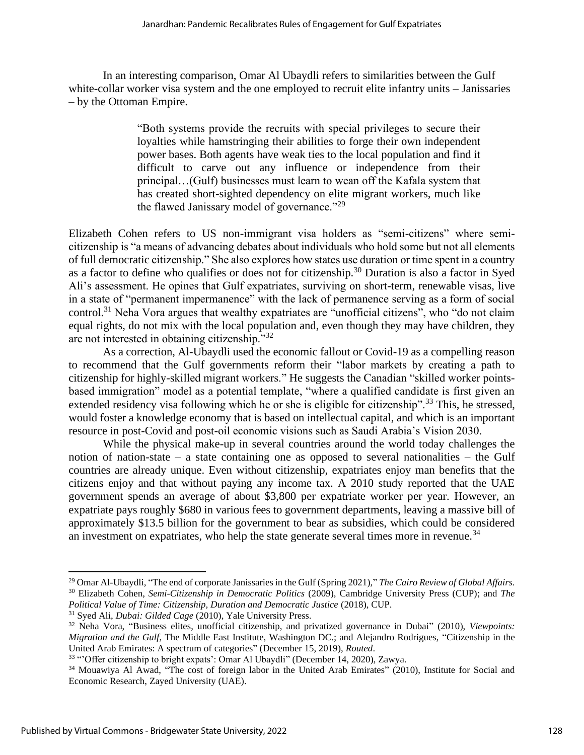In an interesting comparison, Omar Al Ubaydli refers to similarities between the Gulf white-collar worker visa system and the one employed to recruit elite infantry units – Janissaries – by the Ottoman Empire.

> "Both systems provide the recruits with special privileges to secure their loyalties while hamstringing their abilities to forge their own independent power bases. Both agents have weak ties to the local population and find it difficult to carve out any influence or independence from their principal…(Gulf) businesses must learn to wean off the Kafala system that has created short-sighted dependency on elite migrant workers, much like the flawed Janissary model of governance."<sup>29</sup>

Elizabeth Cohen refers to US non-immigrant visa holders as "semi-citizens" where semicitizenship is "a means of advancing debates about individuals who hold some but not all elements of full democratic citizenship." She also explores how states use duration or time spent in a country as a factor to define who qualifies or does not for citizenship.<sup>30</sup> Duration is also a factor in Syed Ali's assessment. He opines that Gulf expatriates, surviving on short-term, renewable visas, live in a state of "permanent impermanence" with the lack of permanence serving as a form of social control.<sup>31</sup> Neha Vora argues that wealthy expatriates are "unofficial citizens", who "do not claim equal rights, do not mix with the local population and, even though they may have children, they are not interested in obtaining citizenship."<sup>32</sup>

As a correction, Al-Ubaydli used the economic fallout or Covid-19 as a compelling reason to recommend that the Gulf governments reform their "labor markets by creating a path to citizenship for highly-skilled migrant workers." He suggests the Canadian "skilled worker pointsbased immigration" model as a potential template, "where a qualified candidate is first given an extended residency visa following which he or she is eligible for citizenship".<sup>33</sup> This, he stressed, would foster a knowledge economy that is based on intellectual capital, and which is an important resource in post-Covid and post-oil economic visions such as Saudi Arabia's Vision 2030.

While the physical make-up in several countries around the world today challenges the notion of nation-state – a state containing one as opposed to several nationalities – the Gulf countries are already unique. Even without citizenship, expatriates enjoy man benefits that the citizens enjoy and that without paying any income tax. A 2010 study reported that the UAE government spends an average of about \$3,800 per expatriate worker per year. However, an expatriate pays roughly \$680 in various fees to government departments, leaving a massive bill of approximately \$13.5 billion for the government to bear as subsidies, which could be considered an investment on expatriates, who help the state generate several times more in revenue.<sup>34</sup>

<sup>29</sup> Omar Al-Ubaydli, "The end of corporate Janissaries in the Gulf (Spring 2021)," *The Cairo Review of Global Affairs.* <sup>30</sup> Elizabeth Cohen, *Semi-Citizenship in Democratic Politics* (2009), Cambridge University Press (CUP); and *The Political Value of Time: Citizenship, Duration and Democratic Justice* (2018), CUP.

<sup>31</sup> Syed Ali, *Dubai: Gilded Cage* (2010), Yale University Press.

<sup>32</sup> Neha Vora, "Business elites, unofficial citizenship, and privatized governance in Dubai" (2010), *Viewpoints: Migration and the Gulf*, The Middle East Institute, Washington DC.; and Alejandro Rodrigues, "Citizenship in the United Arab Emirates: A spectrum of categories" (December 15, 2019), *Routed*.

<sup>&</sup>lt;sup>33</sup> "Offer citizenship to bright expats': Omar Al Ubaydli" (December 14, 2020), Zawya.

<sup>34</sup> Mouawiya Al Awad, "The cost of foreign labor in the United Arab Emirates" (2010), Institute for Social and Economic Research, Zayed University (UAE).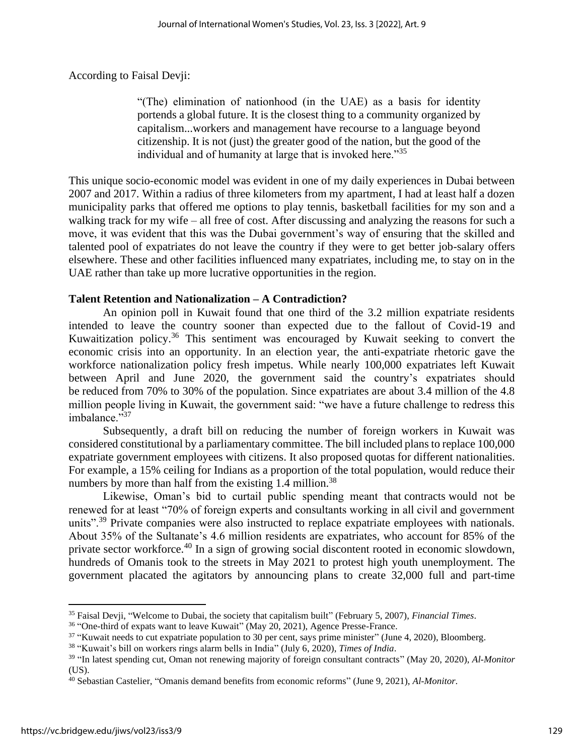According to Faisal Devji:

"(The) elimination of nationhood (in the UAE) as a basis for identity portends a global future. It is the closest thing to a community organized by capitalism...workers and management have recourse to a language beyond citizenship. It is not (just) the greater good of the nation, but the good of the individual and of humanity at large that is invoked here."<sup>35</sup>

This unique socio-economic model was evident in one of my daily experiences in Dubai between 2007 and 2017. Within a radius of three kilometers from my apartment, I had at least half a dozen municipality parks that offered me options to play tennis, basketball facilities for my son and a walking track for my wife – all free of cost. After discussing and analyzing the reasons for such a move, it was evident that this was the Dubai government's way of ensuring that the skilled and talented pool of expatriates do not leave the country if they were to get better job-salary offers elsewhere. These and other facilities influenced many expatriates, including me, to stay on in the UAE rather than take up more lucrative opportunities in the region.

## **Talent Retention and Nationalization – A Contradiction?**

An opinion poll in Kuwait found that one third of the 3.2 million expatriate residents intended to leave the country sooner than expected due to the fallout of Covid-19 and Kuwaitization policy.<sup>36</sup> This sentiment was encouraged by Kuwait seeking to convert the economic crisis into an opportunity. In an election year, the anti-expatriate rhetoric gave the workforce nationalization policy fresh impetus. While nearly 100,000 expatriates left Kuwait between April and June 2020, the government said the country's expatriates should be reduced from 70% to 30% of the population. Since expatriates are about 3.4 million of the 4.8 million people living in Kuwait, the government said: "we have a future challenge to redress this imbalance."37

Subsequently, a draft bill on reducing the number of foreign workers in Kuwait was considered constitutional by a parliamentary committee. The bill included plans to replace 100,000 expatriate government employees with citizens. It also proposed quotas for different nationalities. For example, a 15% ceiling for Indians as a proportion of the total population, would reduce their numbers by more than half from the existing  $1.4$  million.<sup>38</sup>

Likewise, Oman's bid to curtail public spending meant that contracts would not be renewed for at least "70% of foreign experts and consultants working in all civil and government units".<sup>39</sup> Private companies were also instructed to replace expatriate employees with nationals. About 35% of the Sultanate's 4.6 million residents are expatriates, who account for 85% of the private sector workforce.<sup>40</sup> In a sign of growing social discontent rooted in economic slowdown, hundreds of Omanis took to the streets in May 2021 to protest high youth unemployment. The government placated the agitators by announcing plans to create 32,000 full and part-time

<sup>35</sup> Faisal Devji, "Welcome to Dubai, the society that capitalism built" (February 5, 2007), *Financial Times*.

<sup>&</sup>lt;sup>36</sup> "One-third of expats want to leave Kuwait" (May 20, 2021), Agence Presse-France.

<sup>&</sup>lt;sup>37</sup> "Kuwait needs to cut expatriate population to 30 per cent, says prime minister" (June 4, 2020), Bloomberg.

<sup>38</sup> "Kuwait's bill on workers rings alarm bells in India" (July 6, 2020), *Times of India*.

<sup>39</sup> "In latest spending cut, Oman not renewing majority of foreign consultant contracts" (May 20, 2020), *Al-Monitor* (US).

<sup>40</sup> Sebastian Castelier, "Omanis demand benefits from economic reforms" (June 9, 2021), *Al-Monitor*.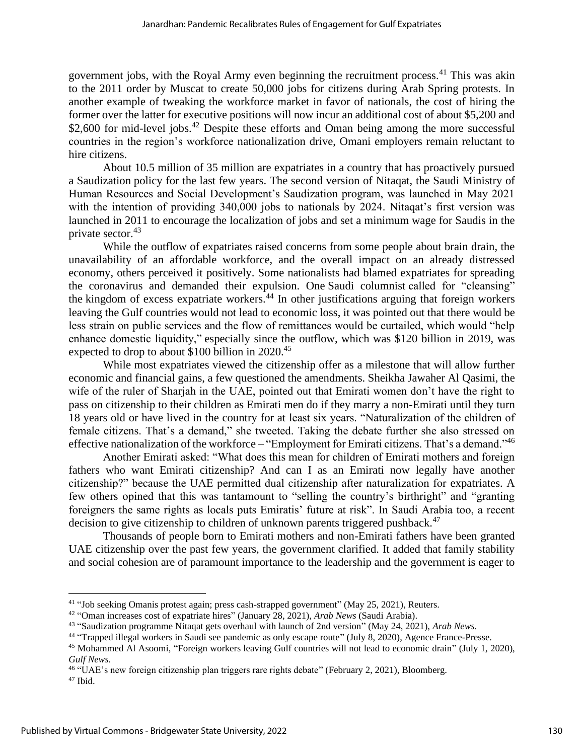government jobs, with the Royal Army even beginning the recruitment process.<sup>41</sup> This was akin to the 2011 order by Muscat to create 50,000 jobs for citizens during Arab Spring protests. In another example of tweaking the workforce market in favor of nationals, the cost of hiring the former over the latter for executive positions will now incur an additional cost of about \$5,200 and \$2,600 for mid-level jobs.<sup>42</sup> Despite these efforts and Oman being among the more successful countries in the region's workforce nationalization drive, Omani employers remain reluctant to hire citizens.

About 10.5 million of 35 million are expatriates in a country that has proactively pursued a Saudization policy for the last few years. The second version of Nitaqat, the Saudi Ministry of Human Resources and Social Development's Saudization program, was launched in May 2021 with the intention of providing 340,000 jobs to nationals by 2024. Nitagat's first version was launched in 2011 to encourage the localization of jobs and set a minimum wage for Saudis in the private sector.<sup>43</sup>

While the outflow of expatriates raised concerns from some people about brain drain, the unavailability of an affordable workforce, and the overall impact on an already distressed economy, others perceived it positively. Some nationalists had blamed expatriates for spreading the coronavirus and demanded their expulsion. One Saudi columnist called for "cleansing" the kingdom of excess expatriate workers.<sup>44</sup> In other justifications arguing that foreign workers leaving the Gulf countries would not lead to economic loss, it was pointed out that there would be less strain on public services and the flow of remittances would be curtailed, which would "help enhance domestic liquidity," especially since the outflow, which was \$120 billion in 2019, was expected to drop to about \$100 billion in 2020.<sup>45</sup>

While most expatriates viewed the citizenship offer as a milestone that will allow further economic and financial gains, a few questioned the amendments. Sheikha Jawaher Al Qasimi, the wife of the ruler of Sharjah in the UAE, pointed out that Emirati women don't have the right to pass on citizenship to their children as Emirati men do if they marry a non-Emirati until they turn 18 years old or have lived in the country for at least six years. "Naturalization of the children of female citizens. That's a demand," she tweeted. Taking the debate further she also stressed on effective nationalization of the workforce – "Employment for Emirati citizens. That's a demand."<sup>46</sup>

Another Emirati asked: "What does this mean for children of Emirati mothers and foreign fathers who want Emirati citizenship? And can I as an Emirati now legally have another citizenship?" because the UAE permitted dual citizenship after naturalization for expatriates. A few others opined that this was tantamount to "selling the country's birthright" and "granting foreigners the same rights as locals puts Emiratis' future at risk". In Saudi Arabia too, a recent decision to give citizenship to children of unknown parents triggered pushback.<sup>47</sup>

Thousands of people born to Emirati mothers and non-Emirati fathers have been granted UAE citizenship over the past few years, the government clarified. It added that family stability and social cohesion are of paramount importance to the leadership and the government is eager to

<sup>&</sup>lt;sup>41</sup> "Job seeking Omanis protest again; press cash-strapped government" (May 25, 2021), Reuters.

<sup>42</sup> "Oman increases cost of expatriate hires" (January 28, 2021), *Arab News* (Saudi Arabia).

<sup>43</sup> "Saudization programme Nitaqat gets overhaul with launch of 2nd version" (May 24, 2021), *Arab News*.

<sup>&</sup>lt;sup>44</sup> "Trapped illegal workers in Saudi see pandemic as only escape route" (July 8, 2020), Agence France-Presse.

<sup>45</sup> Mohammed Al Asoomi, "Foreign workers leaving Gulf countries will not lead to economic drain" (July 1, 2020), *Gulf News*.

<sup>46</sup> "UAE's new foreign citizenship plan triggers rare rights debate" (February 2, 2021), Bloomberg.

<sup>47</sup> Ibid.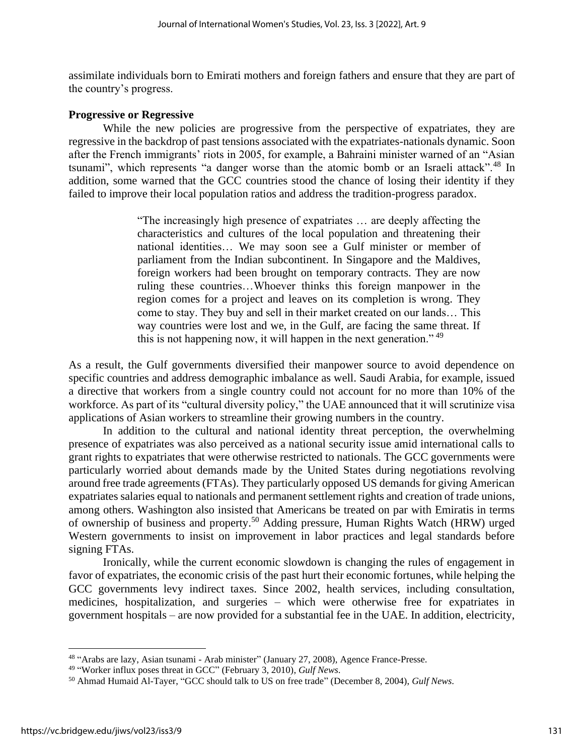assimilate individuals born to Emirati mothers and foreign fathers and ensure that they are part of the country's progress.

## **Progressive or Regressive**

While the new policies are progressive from the perspective of expatriates, they are regressive in the backdrop of past tensions associated with the expatriates-nationals dynamic. Soon after the French immigrants' riots in 2005, for example, a Bahraini minister warned of an "Asian tsunami", which represents "a danger worse than the atomic bomb or an Israeli attack".<sup>48</sup> In addition, some warned that the GCC countries stood the chance of losing their identity if they failed to improve their local population ratios and address the tradition-progress paradox.

> "The increasingly high presence of expatriates … are deeply affecting the characteristics and cultures of the local population and threatening their national identities… We may soon see a Gulf minister or member of parliament from the Indian subcontinent. In Singapore and the Maldives, foreign workers had been brought on temporary contracts. They are now ruling these countries…Whoever thinks this foreign manpower in the region comes for a project and leaves on its completion is wrong. They come to stay. They buy and sell in their market created on our lands… This way countries were lost and we, in the Gulf, are facing the same threat. If this is not happening now, it will happen in the next generation."<sup>49</sup>

As a result, the Gulf governments diversified their manpower source to avoid dependence on specific countries and address demographic imbalance as well. Saudi Arabia, for example, issued a directive that workers from a single country could not account for no more than 10% of the workforce. As part of its "cultural diversity policy," the UAE announced that it will scrutinize visa applications of Asian workers to streamline their growing numbers in the country.

In addition to the cultural and national identity threat perception, the overwhelming presence of expatriates was also perceived as a national security issue amid international calls to grant rights to expatriates that were otherwise restricted to nationals. The GCC governments were particularly worried about demands made by the United States during negotiations revolving around free trade agreements (FTAs). They particularly opposed US demands for giving American expatriates salaries equal to nationals and permanent settlement rights and creation of trade unions, among others. Washington also insisted that Americans be treated on par with Emiratis in terms of ownership of business and property.<sup>50</sup> Adding pressure, Human Rights Watch (HRW) urged Western governments to insist on improvement in labor practices and legal standards before signing FTAs.

Ironically, while the current economic slowdown is changing the rules of engagement in favor of expatriates, the economic crisis of the past hurt their economic fortunes, while helping the GCC governments levy indirect taxes. Since 2002, health services, including consultation, medicines, hospitalization, and surgeries – which were otherwise free for expatriates in government hospitals – are now provided for a substantial fee in the UAE. In addition, electricity,

<sup>&</sup>lt;sup>48</sup> "Arabs are lazy, Asian tsunami - Arab minister" (January 27, 2008), Agence France-Presse.

<sup>49</sup> "Worker influx poses threat in GCC" (February 3, 2010), *Gulf News*.

<sup>50</sup> Ahmad Humaid Al-Tayer, "GCC should talk to US on free trade" (December 8, 2004), *Gulf News*.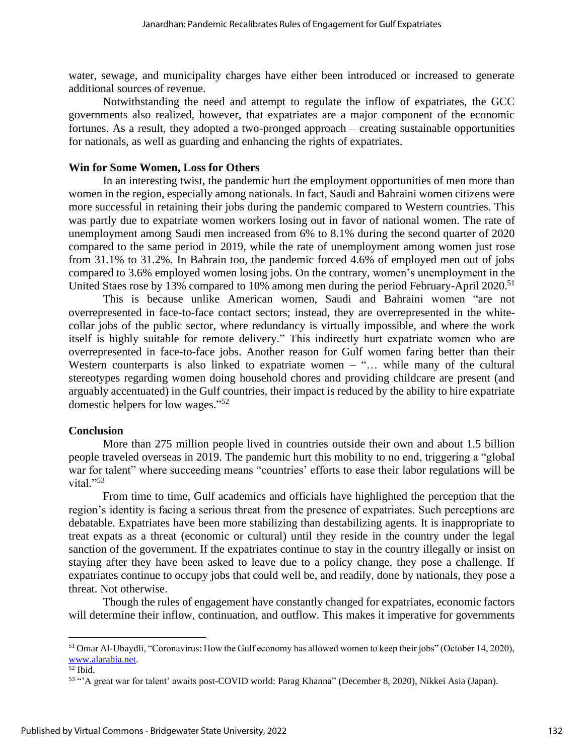water, sewage, and municipality charges have either been introduced or increased to generate additional sources of revenue.

Notwithstanding the need and attempt to regulate the inflow of expatriates, the GCC governments also realized, however, that expatriates are a major component of the economic fortunes. As a result, they adopted a two-pronged approach – creating sustainable opportunities for nationals, as well as guarding and enhancing the rights of expatriates.

### **Win for Some Women, Loss for Others**

In an interesting twist, the pandemic hurt the employment opportunities of men more than women in the region, especially among nationals. In fact, Saudi and Bahraini women citizens were more successful in retaining their jobs during the pandemic compared to Western countries. This was partly due to expatriate women workers losing out in favor of national women. The rate of unemployment among Saudi men increased from 6% to 8.1% during the second quarter of 2020 compared to the same period in 2019, while the rate of unemployment among women just rose from 31.1% to 31.2%. In Bahrain too, the pandemic forced 4.6% of employed men out of jobs compared to 3.6% employed women losing jobs. On the contrary, women's unemployment in the United Staes rose by 13% compared to 10% among men during the period February-April 2020.<sup>51</sup>

This is because unlike American women, Saudi and Bahraini women "are not overrepresented in face-to-face contact sectors; instead, they are overrepresented in the whitecollar jobs of the public sector, where redundancy is virtually impossible, and where the work itself is highly suitable for remote delivery." This indirectly hurt expatriate women who are overrepresented in face-to-face jobs. Another reason for Gulf women faring better than their Western counterparts is also linked to expatriate women – "... while many of the cultural stereotypes regarding women doing household chores and providing childcare are present (and arguably accentuated) in the Gulf countries, their impact is reduced by the ability to hire expatriate domestic helpers for low wages." 52

#### **Conclusion**

More than 275 million people lived in countries outside their own and about 1.5 billion people traveled overseas in 2019. The pandemic hurt this mobility to no end, triggering a "global war for talent" where succeeding means "countries' efforts to ease their labor regulations will be vital." $53$ 

From time to time, Gulf academics and officials have highlighted the perception that the region's identity is facing a serious threat from the presence of expatriates. Such perceptions are debatable. Expatriates have been more stabilizing than destabilizing agents. It is inappropriate to treat expats as a threat (economic or cultural) until they reside in the country under the legal sanction of the government. If the expatriates continue to stay in the country illegally or insist on staying after they have been asked to leave due to a policy change, they pose a challenge. If expatriates continue to occupy jobs that could well be, and readily, done by nationals, they pose a threat. Not otherwise.

Though the rules of engagement have constantly changed for expatriates, economic factors will determine their inflow, continuation, and outflow. This makes it imperative for governments

<sup>&</sup>lt;sup>51</sup> Omar Al-Ubaydli, "Coronavirus: How the Gulf economy has allowed women to keep their jobs" (October 14, 2020), [www.alarabia.net.](http://www.alarabia.net/)

 $52$  Ibid.

<sup>53</sup> "'A great war for talent' awaits post-COVID world: Parag Khanna" (December 8, 2020), Nikkei Asia (Japan).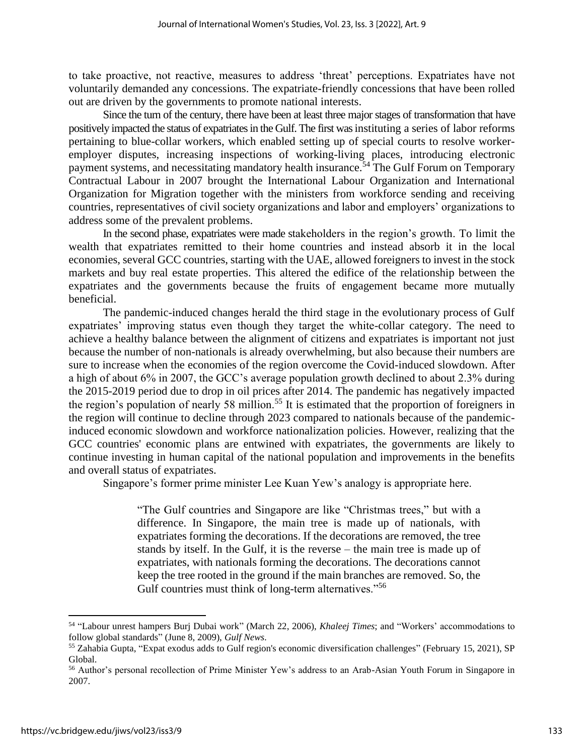to take proactive, not reactive, measures to address 'threat' perceptions. Expatriates have not voluntarily demanded any concessions. The expatriate-friendly concessions that have been rolled out are driven by the governments to promote national interests.

Since the turn of the century, there have been at least three major stages of transformation that have positively impacted the status of expatriates in the Gulf. The first was instituting a series of labor reforms pertaining to blue-collar workers, which enabled setting up of special courts to resolve workeremployer disputes, increasing inspections of working-living places, introducing electronic payment systems, and necessitating mandatory health insurance.<sup>54</sup> The Gulf Forum on Temporary Contractual Labour in 2007 brought the International Labour Organization and International Organization for Migration together with the ministers from workforce sending and receiving countries, representatives of civil society organizations and labor and employers' organizations to address some of the prevalent problems.

In the second phase, expatriates were made stakeholders in the region's growth. To limit the wealth that expatriates remitted to their home countries and instead absorb it in the local economies, several GCC countries, starting with the UAE, allowed foreigners to invest in the stock markets and buy real estate properties. This altered the edifice of the relationship between the expatriates and the governments because the fruits of engagement became more mutually beneficial.

The pandemic-induced changes herald the third stage in the evolutionary process of Gulf expatriates' improving status even though they target the white-collar category. The need to achieve a healthy balance between the alignment of citizens and expatriates is important not just because the number of non-nationals is already overwhelming, but also because their numbers are sure to increase when the economies of the region overcome the Covid-induced slowdown. After a high of about 6% in 2007, the GCC's average population growth declined to about 2.3% during the 2015-2019 period due to drop in oil prices after 2014. The pandemic has negatively impacted the region's population of nearly 58 million.<sup>55</sup> It is estimated that the proportion of foreigners in the region will continue to decline through 2023 compared to nationals because of the pandemicinduced economic slowdown and workforce nationalization policies. However, realizing that the GCC countries' economic plans are entwined with expatriates, the governments are likely to continue investing in human capital of the national population and improvements in the benefits and overall status of expatriates.

Singapore's former prime minister Lee Kuan Yew's analogy is appropriate here.

"The Gulf countries and Singapore are like "Christmas trees," but with a difference. In Singapore, the main tree is made up of nationals, with expatriates forming the decorations. If the decorations are removed, the tree stands by itself. In the Gulf, it is the reverse – the main tree is made up of expatriates, with nationals forming the decorations. The decorations cannot keep the tree rooted in the ground if the main branches are removed. So, the Gulf countries must think of long-term alternatives."<sup>56</sup>

<sup>54</sup> "Labour unrest hampers Burj Dubai work" (March 22, 2006), *Khaleej Times*; and "Workers' accommodations to follow global standards" (June 8, 2009), *Gulf News*.

<sup>55</sup> Zahabia Gupta, "Expat exodus adds to Gulf region's economic diversification challenges" (February 15, 2021), SP Global.

<sup>&</sup>lt;sup>56</sup> Author's personal recollection of Prime Minister Yew's address to an Arab-Asian Youth Forum in Singapore in 2007.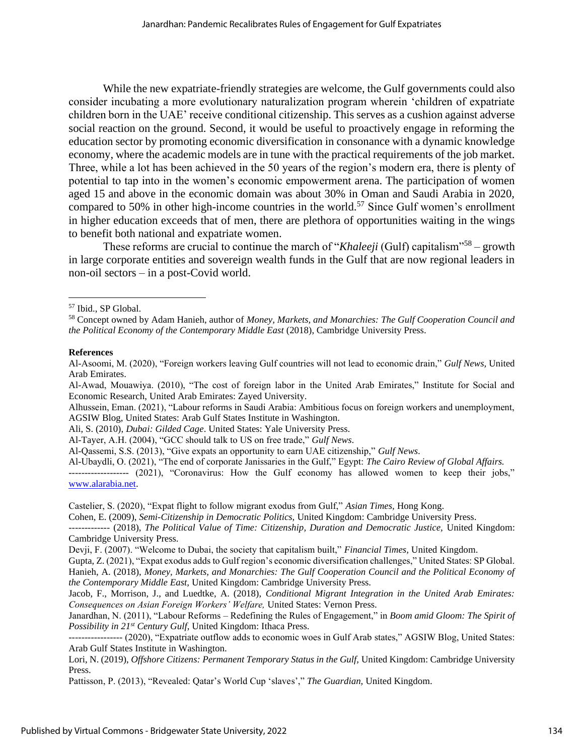While the new expatriate-friendly strategies are welcome, the Gulf governments could also consider incubating a more evolutionary naturalization program wherein 'children of expatriate children born in the UAE' receive conditional citizenship. This serves as a cushion against adverse social reaction on the ground. Second, it would be useful to proactively engage in reforming the education sector by promoting economic diversification in consonance with a dynamic knowledge economy, where the academic models are in tune with the practical requirements of the job market. Three, while a lot has been achieved in the 50 years of the region's modern era, there is plenty of potential to tap into in the women's economic empowerment arena. The participation of women aged 15 and above in the economic domain was about 30% in Oman and Saudi Arabia in 2020, compared to 50% in other high-income countries in the world.<sup>57</sup> Since Gulf women's enrollment in higher education exceeds that of men, there are plethora of opportunities waiting in the wings to benefit both national and expatriate women.

These reforms are crucial to continue the march of "*Khaleeji* (Gulf) capitalism"<sup>58</sup> – growth in large corporate entities and sovereign wealth funds in the Gulf that are now regional leaders in non-oil sectors – in a post-Covid world.

#### **References**

Ali, S. (2010), *Dubai: Gilded Cage*. United States: Yale University Press.

Al-Tayer, A.H. (2004), "GCC should talk to US on free trade," *Gulf News*.

Al-Qassemi, S.S. (2013), "Give expats an opportunity to earn UAE citizenship," *Gulf News*.

Al-Ubaydli, O. (2021), "The end of corporate Janissaries in the Gulf," Egypt: *The Cairo Review of Global Affairs.*

*-------------------* (2021), "Coronavirus: How the Gulf economy has allowed women to keep their jobs," [www.alarabia.net.](http://www.alarabia.net/)

Castelier, S. (2020), "Expat flight to follow migrant exodus from Gulf," *Asian Times,* Hong Kong.

Cohen, E. (2009), *Semi-Citizenship in Democratic Politics,* United Kingdom: Cambridge University Press.

------------- (2018), *The Political Value of Time: Citizenship, Duration and Democratic Justice,* United Kingdom: Cambridge University Press.

Gupta, Z. (2021), "Expat exodus adds to Gulf region's economic diversification challenges," United States: SP Global.

Hanieh, A. (2018), *Money, Markets, and Monarchies: The Gulf Cooperation Council and the Political Economy of the Contemporary Middle East,* United Kingdom: Cambridge University Press.

Jacob, F., Morrison, J., and Luedtke, A. (2018), *Conditional Migrant Integration in the United Arab Emirates: Consequences on Asian Foreign Workers' Welfare,* United States: Vernon Press.

Janardhan, N. (2011), "Labour Reforms – Redefining the Rules of Engagement," in *Boom amid Gloom: The Spirit of Possibility in 21st Century Gulf*, United Kingdom: Ithaca Press.

----------------- (2020), "Expatriate outflow adds to economic woes in Gulf Arab states," AGSIW Blog, United States: Arab Gulf States Institute in Washington.

Lori, N. (2019), *Offshore Citizens: Permanent Temporary Status in the Gulf,* United Kingdom: Cambridge University Press.

Pattisson, P. (2013), "Revealed: Qatar's World Cup 'slaves'," *The Guardian,* United Kingdom.

<sup>57</sup> Ibid., SP Global.

<sup>58</sup> Concept owned by Adam Hanieh, author of *Money, Markets, and Monarchies: The Gulf Cooperation Council and the Political Economy of the Contemporary Middle East* (2018), Cambridge University Press.

Al-Asoomi, M. (2020), "Foreign workers leaving Gulf countries will not lead to economic drain," *Gulf News,* United Arab Emirates.

Al-Awad, Mouawiya. (2010), "The cost of foreign labor in the United Arab Emirates," Institute for Social and Economic Research, United Arab Emirates: Zayed University.

Alhussein, Eman. (2021), "Labour reforms in Saudi Arabia: Ambitious focus on foreign workers and unemployment, AGSIW Blog, United States: Arab Gulf States Institute in Washington.

Devji, F. (2007). "Welcome to Dubai, the society that capitalism built," *Financial Times,* United Kingdom.